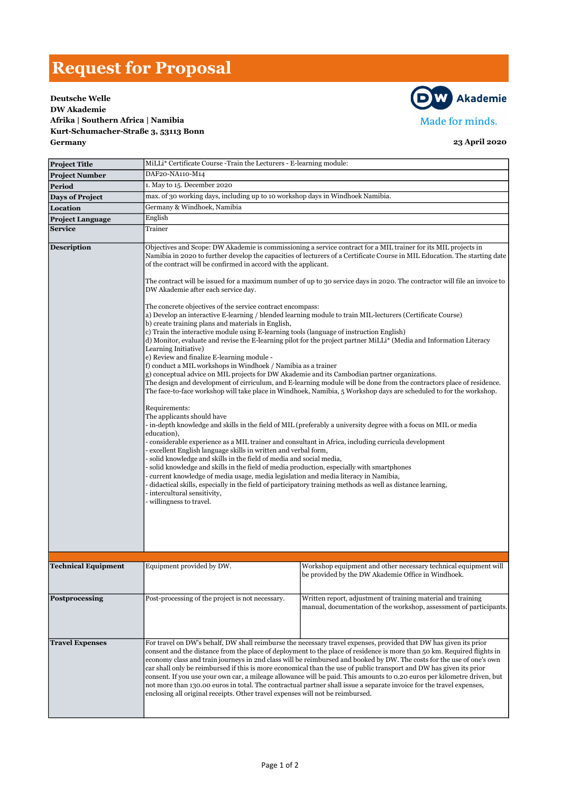## Request for Proposal





| <b>Project Title</b>       |                                                                                                                                                                                                                                                                                                                                                                                                                                                                                                                                                                                                                                                                                                                                                                                                                                                                                                                                                                                                                                                                                                                                                                                                                                                                                                                                                                                                                                                                                                                                                                                                                                                                                                                                                                                                                                                                                                                                                                                                                                                                                                                                                                                                                                         | MiLLi* Certificate Course -Train the Lecturers - E-learning module:                                                                |  |  |
|----------------------------|-----------------------------------------------------------------------------------------------------------------------------------------------------------------------------------------------------------------------------------------------------------------------------------------------------------------------------------------------------------------------------------------------------------------------------------------------------------------------------------------------------------------------------------------------------------------------------------------------------------------------------------------------------------------------------------------------------------------------------------------------------------------------------------------------------------------------------------------------------------------------------------------------------------------------------------------------------------------------------------------------------------------------------------------------------------------------------------------------------------------------------------------------------------------------------------------------------------------------------------------------------------------------------------------------------------------------------------------------------------------------------------------------------------------------------------------------------------------------------------------------------------------------------------------------------------------------------------------------------------------------------------------------------------------------------------------------------------------------------------------------------------------------------------------------------------------------------------------------------------------------------------------------------------------------------------------------------------------------------------------------------------------------------------------------------------------------------------------------------------------------------------------------------------------------------------------------------------------------------------------|------------------------------------------------------------------------------------------------------------------------------------|--|--|
| <b>Project Number</b>      | DAF20-NA110-M14                                                                                                                                                                                                                                                                                                                                                                                                                                                                                                                                                                                                                                                                                                                                                                                                                                                                                                                                                                                                                                                                                                                                                                                                                                                                                                                                                                                                                                                                                                                                                                                                                                                                                                                                                                                                                                                                                                                                                                                                                                                                                                                                                                                                                         |                                                                                                                                    |  |  |
| Period                     | 1. May to 15. December 2020                                                                                                                                                                                                                                                                                                                                                                                                                                                                                                                                                                                                                                                                                                                                                                                                                                                                                                                                                                                                                                                                                                                                                                                                                                                                                                                                                                                                                                                                                                                                                                                                                                                                                                                                                                                                                                                                                                                                                                                                                                                                                                                                                                                                             |                                                                                                                                    |  |  |
| <b>Days of Project</b>     | max. of 30 working days, including up to 10 workshop days in Windhoek Namibia.                                                                                                                                                                                                                                                                                                                                                                                                                                                                                                                                                                                                                                                                                                                                                                                                                                                                                                                                                                                                                                                                                                                                                                                                                                                                                                                                                                                                                                                                                                                                                                                                                                                                                                                                                                                                                                                                                                                                                                                                                                                                                                                                                          |                                                                                                                                    |  |  |
| Location                   | Germany & Windhoek, Namibia                                                                                                                                                                                                                                                                                                                                                                                                                                                                                                                                                                                                                                                                                                                                                                                                                                                                                                                                                                                                                                                                                                                                                                                                                                                                                                                                                                                                                                                                                                                                                                                                                                                                                                                                                                                                                                                                                                                                                                                                                                                                                                                                                                                                             |                                                                                                                                    |  |  |
| <b>Project Language</b>    | English                                                                                                                                                                                                                                                                                                                                                                                                                                                                                                                                                                                                                                                                                                                                                                                                                                                                                                                                                                                                                                                                                                                                                                                                                                                                                                                                                                                                                                                                                                                                                                                                                                                                                                                                                                                                                                                                                                                                                                                                                                                                                                                                                                                                                                 |                                                                                                                                    |  |  |
| <b>Service</b>             | Trainer                                                                                                                                                                                                                                                                                                                                                                                                                                                                                                                                                                                                                                                                                                                                                                                                                                                                                                                                                                                                                                                                                                                                                                                                                                                                                                                                                                                                                                                                                                                                                                                                                                                                                                                                                                                                                                                                                                                                                                                                                                                                                                                                                                                                                                 |                                                                                                                                    |  |  |
|                            |                                                                                                                                                                                                                                                                                                                                                                                                                                                                                                                                                                                                                                                                                                                                                                                                                                                                                                                                                                                                                                                                                                                                                                                                                                                                                                                                                                                                                                                                                                                                                                                                                                                                                                                                                                                                                                                                                                                                                                                                                                                                                                                                                                                                                                         |                                                                                                                                    |  |  |
| <b>Description</b>         | Objectives and Scope: DW Akademie is commissioning a service contract for a MIL trainer for its MIL projects in<br>Namibia in 2020 to further develop the capacities of lecturers of a Certificate Course in MIL Education. The starting date<br>of the contract will be confirmed in accord with the applicant.<br>The contract will be issued for a maximum number of up to 30 service days in 2020. The contractor will file an invoice to<br>DW Akademie after each service day.<br>The concrete objectives of the service contract encompass:<br>a) Develop an interactive E-learning / blended learning module to train MIL-lecturers (Certificate Course)<br>b) create training plans and materials in English,<br>c) Train the interactive module using E-learning tools (language of instruction English)<br>d) Monitor, evaluate and revise the E-learning pilot for the project partner MiLLi* (Media and Information Literacy<br>Learning Initiative)<br>e) Review and finalize E-learning module -<br>f) conduct a MIL workshops in Windhoek / Namibia as a trainer<br>g) conceptual advice on MIL projects for DW Akademie and its Cambodian partner organizations.<br>The design and development of cirriculum, and E-learning module will be done from the contractors place of residence.<br>The face-to-face workshop will take place in Windhoek, Namibia, 5 Workshop days are scheduled to for the workshop.<br>Requirements:<br>The applicants should have<br>- in-depth knowledge and skills in the field of MIL (preferably a university degree with a focus on MIL or media<br>education),<br>- considerable experience as a MIL trainer and consultant in Africa, including curricula development<br>- excellent English language skills in written and verbal form,<br>- solid knowledge and skills in the field of media and social media,<br>- solid knowledge and skills in the field of media production, especially with smartphones<br>- current knowledge of media usage, media legislation and media literacy in Namibia,<br>- didactical skills, especially in the field of participatory training methods as well as distance learning,<br>- intercultural sensitivity,<br>- willingness to travel. |                                                                                                                                    |  |  |
|                            |                                                                                                                                                                                                                                                                                                                                                                                                                                                                                                                                                                                                                                                                                                                                                                                                                                                                                                                                                                                                                                                                                                                                                                                                                                                                                                                                                                                                                                                                                                                                                                                                                                                                                                                                                                                                                                                                                                                                                                                                                                                                                                                                                                                                                                         |                                                                                                                                    |  |  |
| <b>Technical Equipment</b> | Equipment provided by DW.                                                                                                                                                                                                                                                                                                                                                                                                                                                                                                                                                                                                                                                                                                                                                                                                                                                                                                                                                                                                                                                                                                                                                                                                                                                                                                                                                                                                                                                                                                                                                                                                                                                                                                                                                                                                                                                                                                                                                                                                                                                                                                                                                                                                               | Workshop equipment and other necessary technical equipment will<br>be provided by the DW Akademie Office in Windhoek.              |  |  |
| Postprocessing             | Post-processing of the project is not necessary.                                                                                                                                                                                                                                                                                                                                                                                                                                                                                                                                                                                                                                                                                                                                                                                                                                                                                                                                                                                                                                                                                                                                                                                                                                                                                                                                                                                                                                                                                                                                                                                                                                                                                                                                                                                                                                                                                                                                                                                                                                                                                                                                                                                        | Written report, adjustment of training material and training<br>manual, documentation of the workshop, assessment of participants. |  |  |
| <b>Travel Expenses</b>     | For travel on DW's behalf, DW shall reimburse the necessary travel expenses, provided that DW has given its prior<br>consent and the distance from the place of deployment to the place of residence is more than 50 km. Required flights in<br>economy class and train journeys in 2nd class will be reimbursed and booked by DW. The costs for the use of one's own<br>car shall only be reimbursed if this is more economical than the use of public transport and DW has given its prior<br>consent. If you use your own car, a mileage allowance will be paid. This amounts to 0.20 euros per kilometre driven, but<br>not more than 130.00 euros in total. The contractual partner shall issue a separate invoice for the travel expenses,<br>enclosing all original receipts. Other travel expenses will not be reimbursed.                                                                                                                                                                                                                                                                                                                                                                                                                                                                                                                                                                                                                                                                                                                                                                                                                                                                                                                                                                                                                                                                                                                                                                                                                                                                                                                                                                                                      |                                                                                                                                    |  |  |